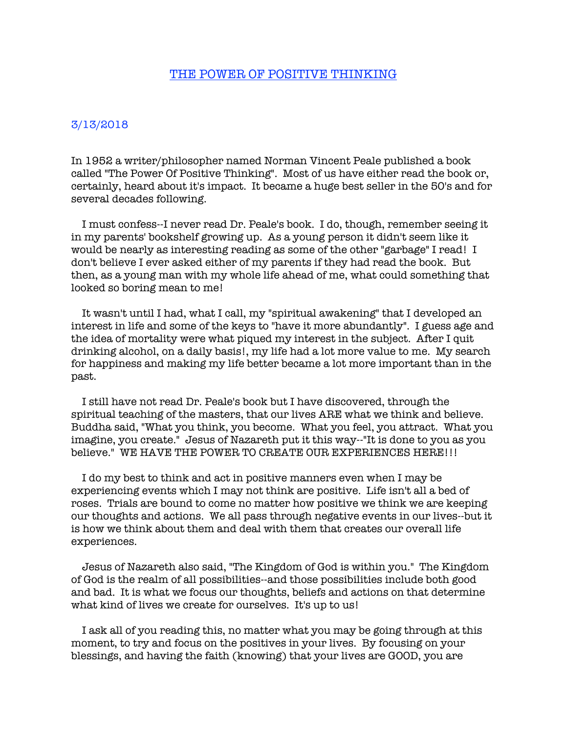## THE POWER OF POSITIVE THINKING

## 3/13/2018

In 1952 a writer/philosopher named Norman Vincent Peale published a book called "The Power Of Positive Thinking". Most of us have either read the book or, certainly, heard about it's impact. It became a huge best seller in the 50's and for several decades following.

 I must confess--I never read Dr. Peale's book. I do, though, remember seeing it in my parents' bookshelf growing up. As a young person it didn't seem like it would be nearly as interesting reading as some of the other "garbage" I read! I don't believe I ever asked either of my parents if they had read the book. But then, as a young man with my whole life ahead of me, what could something that looked so boring mean to me!

 It wasn't until I had, what I call, my "spiritual awakening" that I developed an interest in life and some of the keys to "have it more abundantly". I guess age and the idea of mortality were what piqued my interest in the subject. After I quit drinking alcohol, on a daily basis!, my life had a lot more value to me. My search for happiness and making my life better became a lot more important than in the past.

 I still have not read Dr. Peale's book but I have discovered, through the spiritual teaching of the masters, that our lives ARE what we think and believe. Buddha said, "What you think, you become. What you feel, you attract. What you imagine, you create." Jesus of Nazareth put it this way--"It is done to you as you believe." WE HAVE THE POWER TO CREATE OUR EXPERIENCES HERE!!!

 I do my best to think and act in positive manners even when I may be experiencing events which I may not think are positive. Life isn't all a bed of roses. Trials are bound to come no matter how positive we think we are keeping our thoughts and actions. We all pass through negative events in our lives--but it is how we think about them and deal with them that creates our overall life experiences.

 Jesus of Nazareth also said, "The Kingdom of God is within you." The Kingdom of God is the realm of all possibilities--and those possibilities include both good and bad. It is what we focus our thoughts, beliefs and actions on that determine what kind of lives we create for ourselves. It's up to us!

 I ask all of you reading this, no matter what you may be going through at this moment, to try and focus on the positives in your lives. By focusing on your blessings, and having the faith (knowing) that your lives are GOOD, you are